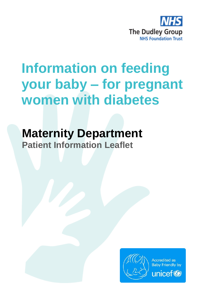

# **Information on feeding your baby – for pregnant women with diabetes**

**Maternity Department Patient Information Leaflet**

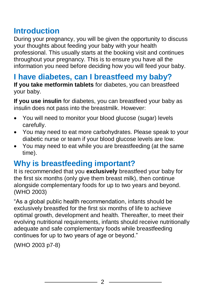## **Introduction**

During your pregnancy, you will be given the opportunity to discuss your thoughts about feeding your baby with your health professional. This usually starts at the booking visit and continues throughout your pregnancy. This is to ensure you have all the information you need before deciding how you will feed your baby.

## **I have diabetes, can I breastfeed my baby?**

**If you take metformin tablets** for diabetes, you can breastfeed your baby.

**If you use insulin** for diabetes, you can breastfeed your baby as insulin does not pass into the breastmilk. However:

- You will need to monitor your blood glucose (sugar) levels carefully.
- You may need to eat more carbohydrates. Please speak to your diabetic nurse or team if your blood glucose levels are low.
- You may need to eat while you are breastfeeding (at the same time).

## **Why is breastfeeding important?**

It is recommended that you **exclusively** breastfeed your baby for the first six months (only give them breast milk), then continue alongside complementary foods for up to two years and beyond. (WHO 2003)

"As a global public health recommendation, infants should be exclusively breastfed for the first six months of life to achieve optimal growth, development and health. Thereafter, to meet their evolving nutritional requirements, infants should receive nutritionally adequate and safe complementary foods while breastfeeding continues for up to two years of age or beyond."

(WHO 2003 p7-8)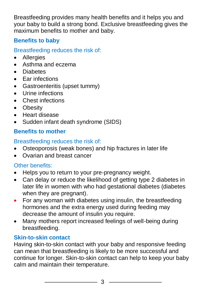Breastfeeding provides many health benefits and it helps you and your baby to build a strong bond. Exclusive breastfeeding gives the maximum benefits to mother and baby.

### **Benefits to baby**

Breastfeeding reduces the risk of:

- Allergies
- Asthma and eczema
- Diabetes
- Far infections
- Gastroenteritis (upset tummy)
- Urine infections
- Chest infections
- Obesity
- Heart disease
- Sudden infant death syndrome (SIDS)

#### **Benefits to mother**

#### Breastfeeding reduces the risk of:

- Osteoporosis (weak bones) and hip fractures in later life
- Ovarian and breast cancer

#### Other benefits:

- Helps you to return to your pre-pregnancy weight.
- Can delay or reduce the likelihood of getting type 2 diabetes in later life in women with who had gestational diabetes (diabetes when they are pregnant).
- For any woman with diabetes using insulin, the breastfeeding hormones and the extra energy used during feeding may decrease the amount of insulin you require.
- Many mothers report increased feelings of well-being during breastfeeding.

#### **Skin-to-skin contact**

Having skin-to-skin contact with your baby and responsive feeding can mean that breastfeeding is likely to be more successful and continue for longer. Skin-to-skin contact can help to keep your baby calm and maintain their temperature.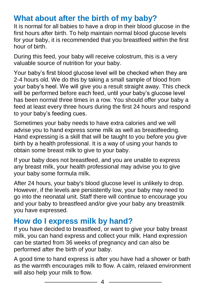## **What about after the birth of my baby?**

It is normal for all babies to have a drop in their blood glucose in the first hours after birth. To help maintain normal blood glucose levels for your baby, it is recommended that you breastfeed within the first hour of birth.

During this feed, your baby will receive colostrum, this is a very valuable source of nutrition for your baby.

Your baby's first blood glucose level will be checked when they are 2-4 hours old. We do this by taking a small sample of blood from your baby's heel. We will give you a result straight away. This check will be performed before each feed, until your baby's glucose level has been normal three times in a row. You should offer your baby a feed at least every three hours during the first 24 hours and respond to your baby's feeding cues.

Sometimes your baby needs to have extra calories and we will advise you to hand express some milk as well as breastfeeding. Hand expressing is a skill that will be taught to you before you give birth by a health professional. It is a way of using your hands to obtain some breast milk to give to your baby.

If your baby does not breastfeed, and you are unable to express any breast milk, your health professional may advise you to give your baby some formula milk.

After 24 hours, your baby's blood glucose level is unlikely to drop. However, if the levels are persistently low, your baby may need to go into the neonatal unit. Staff there will continue to encourage you and your baby to breastfeed and/or give your baby any breastmilk you have expressed.

## **How do I express milk by hand?**

If you have decided to breastfeed, or want to give your baby breast milk, you can hand express and collect your milk. Hand expression can be started from 36 weeks of pregnancy and can also be performed after the birth of your baby.

A good time to hand express is after you have had a shower or bath as the warmth encourages milk to flow. A calm, relaxed environment will also help your milk to flow.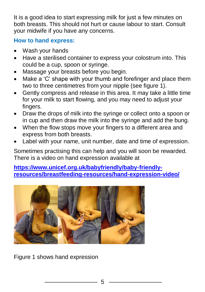It is a good idea to start expressing milk for just a few minutes on both breasts. This should not hurt or cause labour to start. Consult your midwife if you have any concerns.

#### **How to hand express:**

- Wash your hands
- Have a sterilised container to express your colostrum into. This could be a cup, spoon or syringe.
- Massage your breasts before you begin.
- Make a 'C' shape with your thumb and forefinger and place them two to three centimetres from your nipple (see figure 1).
- Gently compress and release in this area. It may take a little time for your milk to start flowing, and you may need to adjust your fingers.
- Draw the drops of milk into the syringe or collect onto a spoon or in cup and then draw the milk into the syringe and add the bung.
- When the flow stops move your fingers to a different area and express from both breasts.
- Label with your name, unit number, date and time of expression.

Sometimes practising this can help and you will soon be rewarded. There is a video on hand expression available at

**[https://www.unicef.org.uk/babyfriendly/baby-friendly](https://www.unicef.org.uk/babyfriendly/baby-friendly-resources/breastfeeding-resources/hand-expression-video/)[resources/breastfeeding-resources/hand-expression-video/](https://www.unicef.org.uk/babyfriendly/baby-friendly-resources/breastfeeding-resources/hand-expression-video/)**



Figure 1 shows hand expression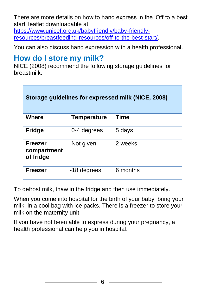There are more details on how to hand express in the 'Off to a best start' leaflet downloadable at [https://www.unicef.org.uk/babyfriendly/baby-friendly-](https://www.unicef.org.uk/babyfriendly/baby-friendly-resources/breastfeeding-resources/off-to-the-best-start/)

[resources/breastfeeding-resources/off-to-the-best-start/.](https://www.unicef.org.uk/babyfriendly/baby-friendly-resources/breastfeeding-resources/off-to-the-best-start/)

You can also discuss hand expression with a health professional.

## **How do I store my milk?**

NICE (2008) recommend the following storage guidelines for breastmilk:

| Storage guidelines for expressed milk (NICE, 2008) |                    |          |
|----------------------------------------------------|--------------------|----------|
| <b>Where</b>                                       | <b>Temperature</b> | Time     |
| <b>Fridge</b>                                      | 0-4 degrees        | 5 days   |
| <b>Freezer</b><br>compartment<br>of fridge         | Not given          | 2 weeks  |
| <b>Freezer</b>                                     | -18 degrees        | 6 months |

To defrost milk, thaw in the fridge and then use immediately.

When you come into hospital for the birth of your baby, bring your milk, in a cool bag with ice packs. There is a freezer to store your milk on the maternity unit.

If you have not been able to express during your pregnancy, a health professional can help you in hospital.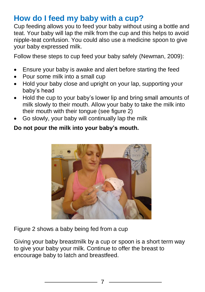## **How do I feed my baby with a cup?**

Cup feeding allows you to feed your baby without using a bottle and teat. Your baby will lap the milk from the cup and this helps to avoid nipple-teat confusion. You could also use a medicine spoon to give your baby expressed milk.

Follow these steps to cup feed your baby safely (Newman, 2009):

- Ensure your baby is awake and alert before starting the feed
- Pour some milk into a small cup
- Hold your baby close and upright on your lap, supporting your baby's head
- Hold the cup to your baby's lower lip and bring small amounts of milk slowly to their mouth. Allow your baby to take the milk into their mouth with their tongue (see figure 2)
- Go slowly, your baby will continually lap the milk

#### **Do not pour the milk into your baby's mouth.**



Figure 2 shows a baby being fed from a cup

Giving your baby breastmilk by a cup or spoon is a short term way to give your baby your milk. Continue to offer the breast to encourage baby to latch and breastfeed.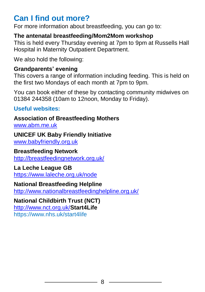## **Can I find out more?**

For more information about breastfeeding, you can go to:

#### **The antenatal breastfeeding/Mom2Mom workshop**

This is held every Thursday evening at 7pm to 9pm at Russells Hall Hospital in Maternity Outpatient Department.

We also hold the following:

#### **Grandparents' evening**

This covers a range of information including feeding. This is held on the first two Mondays of each month at 7pm to 9pm.

You can book either of these by contacting community midwives on 01384 244358 (10am to 12noon, Monday to Friday).

**Useful websites:**

#### **Association of Breastfeeding Mothers**

[www.abm.me.uk](http://www.abm.me.uk/)

#### **UNICEF UK Baby Friendly Initiative**

[www.babyfriendly.org.uk](http://www.babyfriendly.org.uk/)

#### **Breastfeeding Network**

<http://breastfeedingnetwork.org.uk/>

#### **La Leche League GB**

<https://www.laleche.org.uk/node>

#### **National Breastfeeding Helpline**

<http://www.nationalbreastfeedinghelpline.org.uk/>

#### **National Childbirth Trust (NCT)**

<http://www.nct.org.uk/>**Start4Life**

https://www.nhs.uk/start4life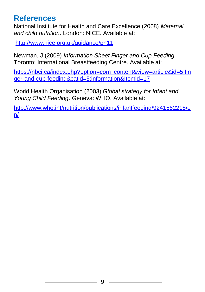## **References**

National Institute for Health and Care Excellence (2008) *Maternal and child nutrition*. London: NICE. Available at:

<http://www.nice.org.uk/guidance/ph11>

Newman, J (2009) *Information Sheet Finger and Cup Feeding.* Toronto: International Breastfeeding Centre. Available at:

[https://nbci.ca/index.php?option=com\\_content&view=article&id=5:fin](https://nbci.ca/index.php?option=com_content&view=article&id=5:finger-and-cup-feeding&catid=5:information&Itemid=17) [ger-and-cup-feeding&catid=5:information&Itemid=17](https://nbci.ca/index.php?option=com_content&view=article&id=5:finger-and-cup-feeding&catid=5:information&Itemid=17)

World Health Organisation (2003) *Global strategy for Infant and Young Child Feeding*. Geneva: WHO. Available at:

[http://www.who.int/nutrition/publications/infantfeeding/9241562218/e](http://www.who.int/nutrition/publications/infantfeeding/9241562218/en/) [n/](http://www.who.int/nutrition/publications/infantfeeding/9241562218/en/)